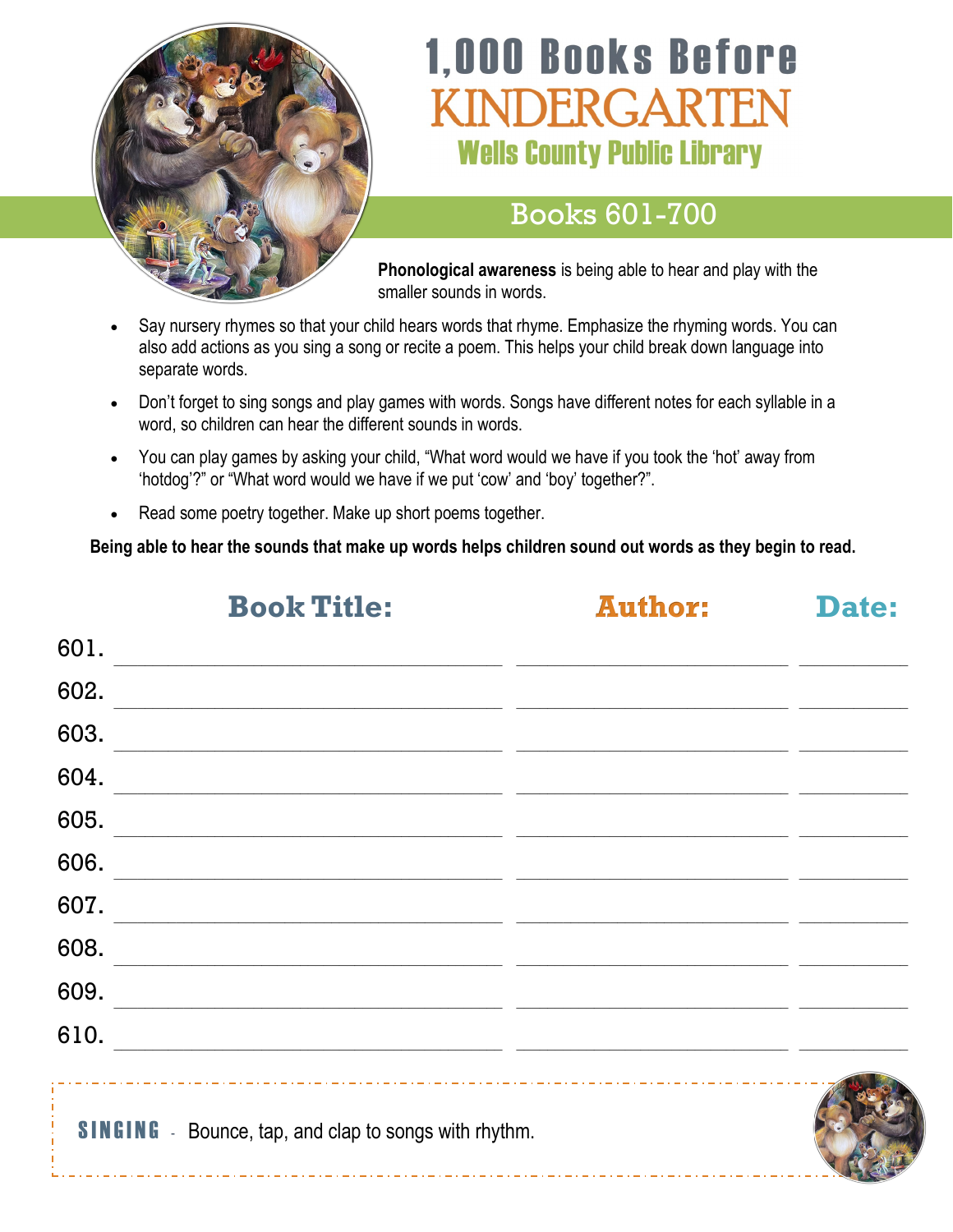

# **1,000 Books Before** VDERGARTEN **Wells County Public Library**

#### Books 601-700

**Phonological awareness** is being able to hear and play with the smaller sounds in words.

- Say nursery rhymes so that your child hears words that rhyme. Emphasize the rhyming words. You can also add actions as you sing a song or recite a poem. This helps your child break down language into separate words.
- Don't forget to sing songs and play games with words. Songs have different notes for each syllable in a word, so children can hear the different sounds in words.
- You can play games by asking your child, "What word would we have if you took the 'hot' away from 'hotdog'?" or "What word would we have if we put 'cow' and 'boy' together?".
- Read some poetry together. Make up short poems together.

**Being able to hear the sounds that make up words helps children sound out words as they begin to read.**

|      | <b>Book Title:</b>                                                                                                     | <b>Author:</b> | Date: |
|------|------------------------------------------------------------------------------------------------------------------------|----------------|-------|
| 601. | the control of the control of the control of the control of the control of the control of                              |                |       |
| 602. |                                                                                                                        |                |       |
| 603. |                                                                                                                        |                |       |
| 604. | <u> 1989 - Johann Stoff, amerikansk politiker (* 1908)</u>                                                             |                |       |
| 605. |                                                                                                                        |                |       |
| 606. |                                                                                                                        |                |       |
| 607. |                                                                                                                        |                |       |
| 608. | <u> 1989 - Johann Barn, mars ann an t-Amhainn an t-Amhainn an t-Amhainn an t-Amhainn an t-Amhainn an t-Amhainn an </u> |                |       |
| 609. |                                                                                                                        |                |       |
| 610. |                                                                                                                        |                |       |
|      | <b>SINGING</b> - Bounce, tap, and clap to songs with rhythm.                                                           |                |       |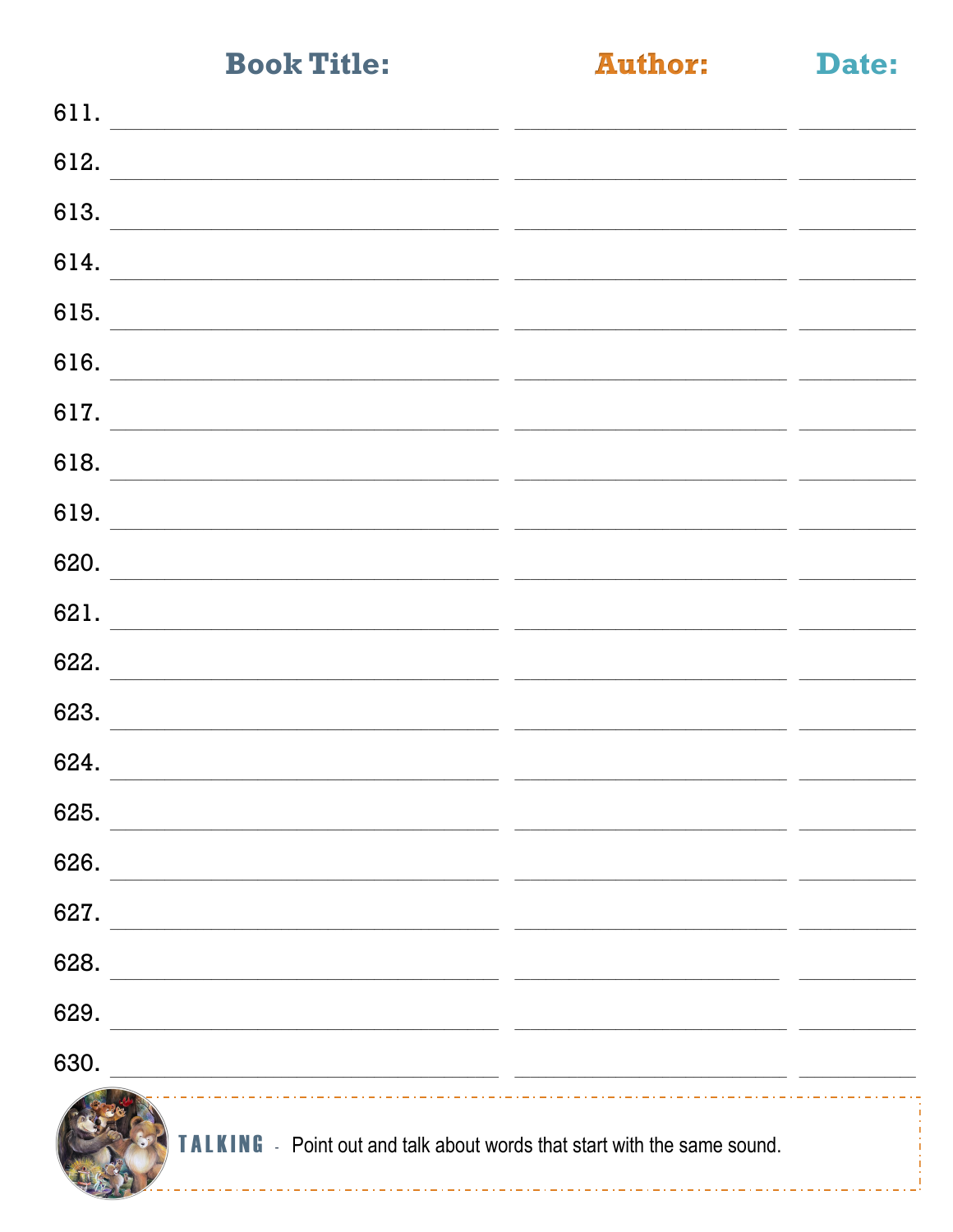**Author:** 

Date:

| 611.                                                                                                                          |  |
|-------------------------------------------------------------------------------------------------------------------------------|--|
| 612.                                                                                                                          |  |
| 613.<br><u> 1999 - Jacques Maria (j. 1989).</u> De Maria (j. 1909). Al la filosofonia (j. 1909). Al la filosofonia (j. 1909). |  |
| 614.                                                                                                                          |  |
| 615.                                                                                                                          |  |
| 616.<br><u> 1989 - Johann Barn, mars and de Branch Barn, mars and de Branch Barn, mars and de Branch Barn, mars and de Br</u> |  |
| 617.<br>the control of the control of the control of the control of the control of the control of                             |  |
| 618.<br><u> 1980 - Jan Barbara, martxa al II-lea (h. 1980).</u>                                                               |  |
| 619.                                                                                                                          |  |
| 620.                                                                                                                          |  |
| 621.<br><u> 1989 - John Stein, Amerikaansk politiker (* 1918)</u>                                                             |  |
| 622.                                                                                                                          |  |
| 623.                                                                                                                          |  |
| 624.<br><u> 1989 - Jan James James, Amerikaansk politik (f. 1989)</u>                                                         |  |
| 625.                                                                                                                          |  |
| 626.                                                                                                                          |  |
| 627.                                                                                                                          |  |
| 628.<br><u> 1989 - Johann John Stoff, deutscher Stoffen und der Stoffen und der Stoffen und der Stoffen und der Stoffen</u>   |  |
| 629.<br><u> 1989 - Johann John Stone, markin film yn y brening yn y brening yn y brening yn y brening yn y brening yn y b</u> |  |
| 630.<br><u> 1980 - Johann Barbara, margaret eta idazlearia (h. 1980).</u>                                                     |  |
| <b>TALKING</b> - Point out and talk about words that start with the same sound.                                               |  |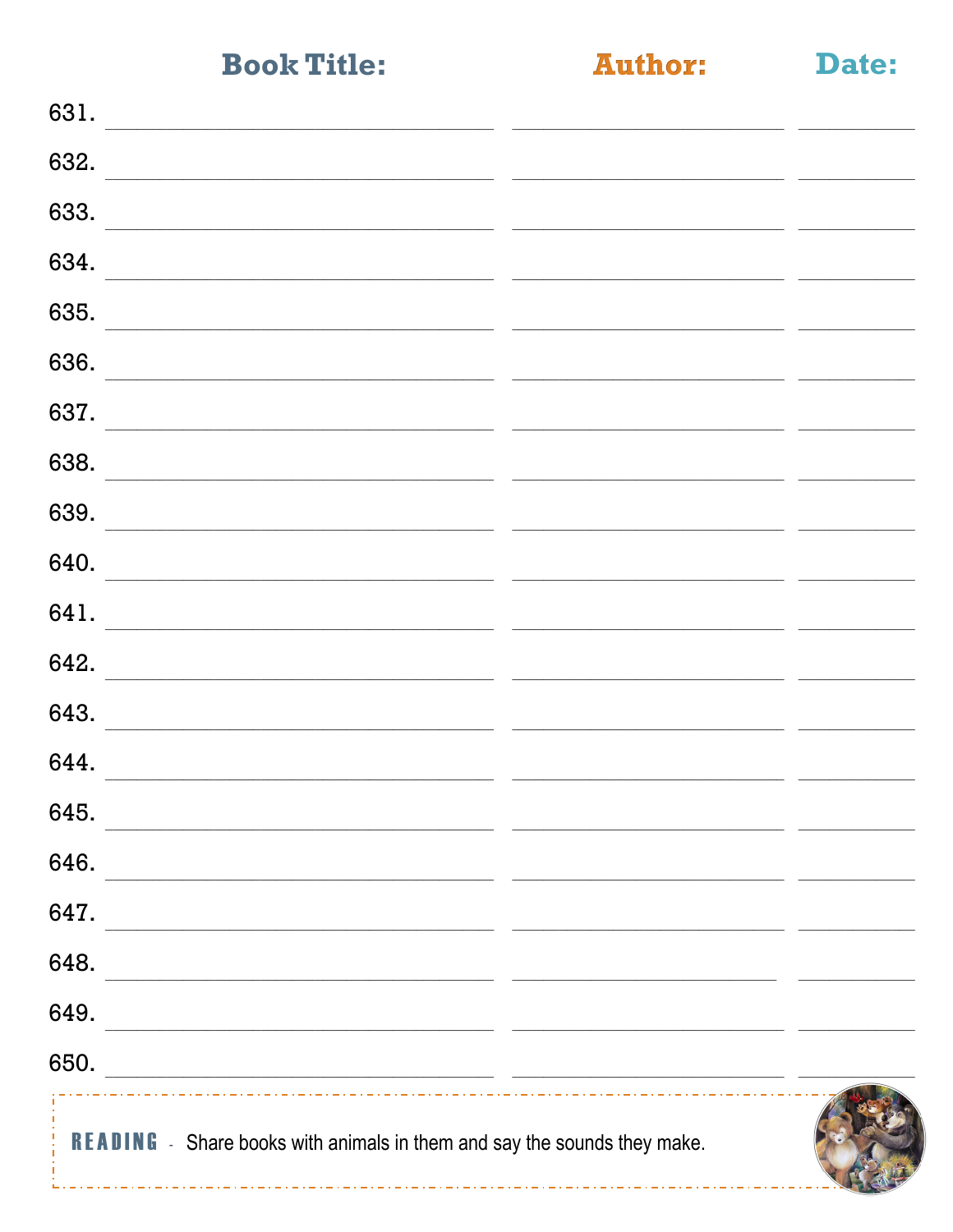**Author:** 

Date:

| <b>READING</b> - Share books with animals in them and say the sounds they make.                                              |  |
|------------------------------------------------------------------------------------------------------------------------------|--|
| 650.<br><u> 2000 - Andrea Andrew Maria (h. 1982).</u>                                                                        |  |
| 649.<br><u> 1989 - Johann Barn, mars eta bainar eta bainar eta baina eta baina eta baina eta baina eta baina eta baina e</u> |  |
| 648.<br><u> 1999 - Johann John Stone, Amerikaansk politiker (* 1908)</u>                                                     |  |
| 647.<br><u> 1989 - Johann John Stone, mars eta berriaren 19a - Johann Stone, marrar eta baten erroma</u>                     |  |
| 646.                                                                                                                         |  |
| 645.                                                                                                                         |  |
| 644.                                                                                                                         |  |
| 643.                                                                                                                         |  |
| 642.                                                                                                                         |  |
| 641.                                                                                                                         |  |
| 640.                                                                                                                         |  |
| 639.                                                                                                                         |  |
| 638.                                                                                                                         |  |
| 637.                                                                                                                         |  |
| 636.                                                                                                                         |  |
| 635.                                                                                                                         |  |
| 634.                                                                                                                         |  |
| 633.                                                                                                                         |  |
| 632.                                                                                                                         |  |
| 631.                                                                                                                         |  |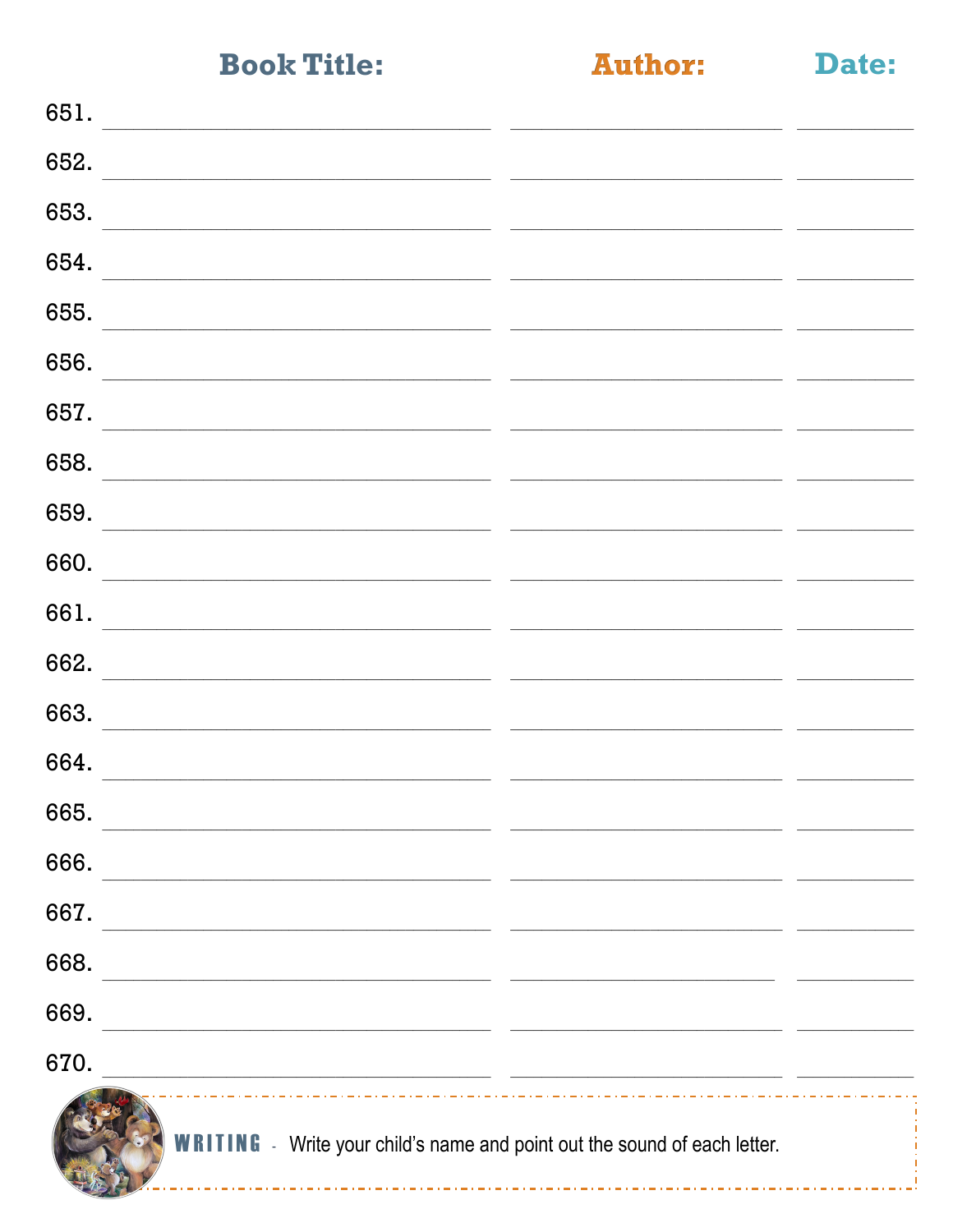**Author:** 

Date:

| 651.                                                                                                                                                                                                                                  |                                                          |
|---------------------------------------------------------------------------------------------------------------------------------------------------------------------------------------------------------------------------------------|----------------------------------------------------------|
| 652.                                                                                                                                                                                                                                  |                                                          |
| 653.                                                                                                                                                                                                                                  | <u> 1980 - Johann Stone, francuski politik (d. 1980)</u> |
| 654.<br><u> 1980 - Johann Barn, fransk politik fotograf (d. 1980)</u>                                                                                                                                                                 |                                                          |
| 655.                                                                                                                                                                                                                                  |                                                          |
| 656.<br><u> 1989 - John Stone, Amerikaansk politiker (* 1918)</u>                                                                                                                                                                     |                                                          |
| 657.<br><u> 1980 - John Stein, Amerikaansk politiker (</u> † 1920)                                                                                                                                                                    |                                                          |
| 658.                                                                                                                                                                                                                                  |                                                          |
| 659.                                                                                                                                                                                                                                  |                                                          |
| the control of the control of the control of the control of the control of the control of the control of the control of the control of the control of the control of the control of the control of the control of the control<br>660. |                                                          |
| <u> 1980 - Jan Alexandri, politik eta politik eta politik eta politik eta politik eta politik eta politik eta po</u><br>661.                                                                                                          |                                                          |
| 662.                                                                                                                                                                                                                                  |                                                          |
| <u> 1980 - John Stein, Amerikaansk politiker (</u> † 1920)<br>663.                                                                                                                                                                    |                                                          |
| 664.                                                                                                                                                                                                                                  |                                                          |
| 665.                                                                                                                                                                                                                                  |                                                          |
| 666.                                                                                                                                                                                                                                  |                                                          |
| 667.                                                                                                                                                                                                                                  |                                                          |
|                                                                                                                                                                                                                                       |                                                          |
| 668.                                                                                                                                                                                                                                  |                                                          |
| 669.                                                                                                                                                                                                                                  |                                                          |
| 670.                                                                                                                                                                                                                                  |                                                          |

**WRITING** - Write your child's name and point out the sound of each letter.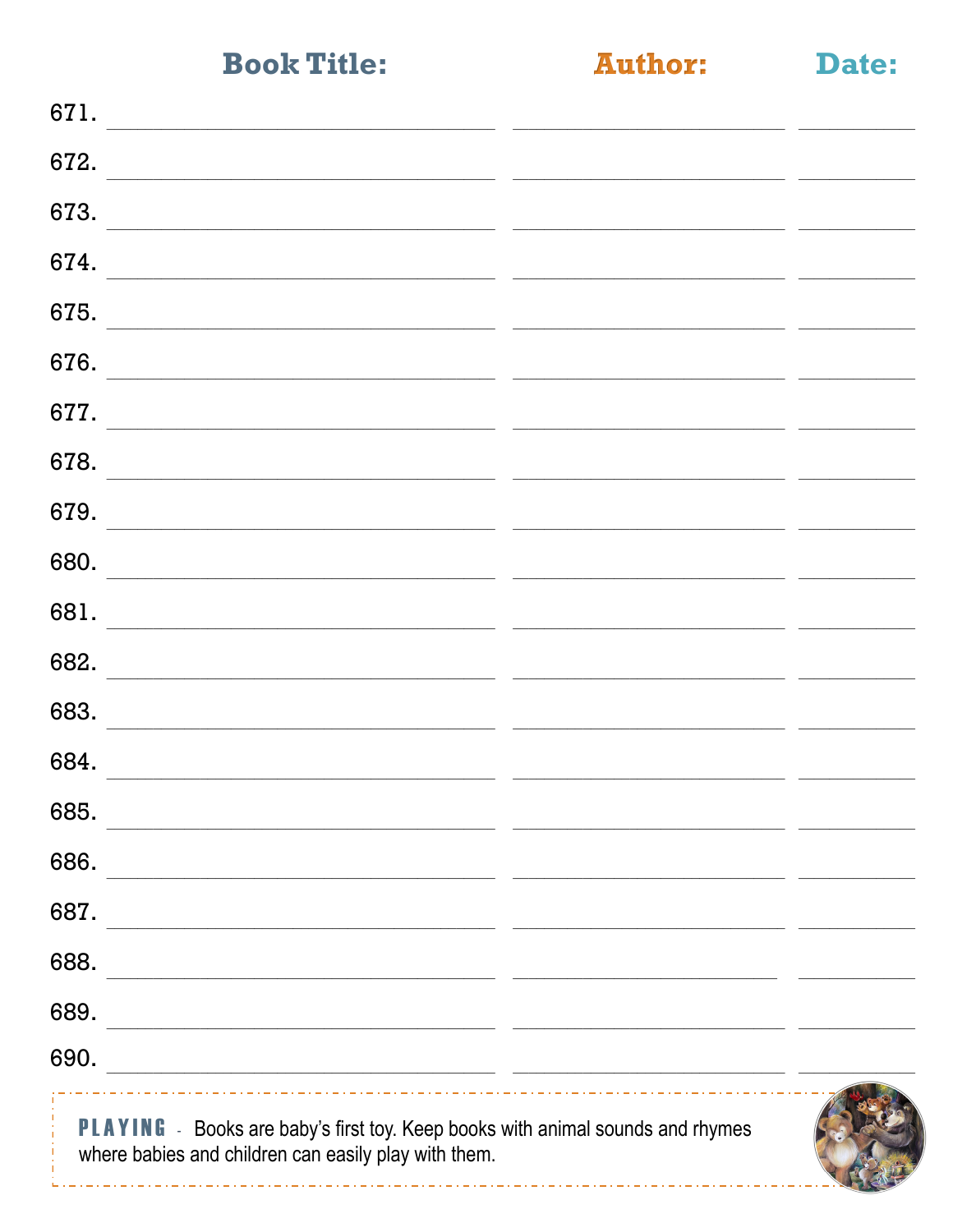**Author:** 

Date:

| 671.                                                                                                                                   |  |
|----------------------------------------------------------------------------------------------------------------------------------------|--|
| 672.                                                                                                                                   |  |
| 673.                                                                                                                                   |  |
| 674.                                                                                                                                   |  |
| 675.                                                                                                                                   |  |
| 676.                                                                                                                                   |  |
| 677.                                                                                                                                   |  |
| 678.                                                                                                                                   |  |
| 679.                                                                                                                                   |  |
| 680.                                                                                                                                   |  |
| 681.                                                                                                                                   |  |
| 682.                                                                                                                                   |  |
| 683.                                                                                                                                   |  |
| 684.                                                                                                                                   |  |
| 685.                                                                                                                                   |  |
| 686.                                                                                                                                   |  |
| 687.                                                                                                                                   |  |
| 688.<br><u> 1989 - Johann Barbara, marka a shekara tsa 1989 - An tsa 1989 - An tsa 1989 - An tsa 1989 - An tsa 1989 - An</u>           |  |
| 689.<br><u> 1989 - Johann John Stein, market fan de Amerikaanske kommunister (* 1950)</u>                                              |  |
| 690.<br><u> 2000 - Jan James James Barnett, amerikan bahasa (j. 1918).</u>                                                             |  |
| PLAYING - Books are baby's first toy. Keep books with animal sounds and rhymes<br>where babies and children can easily play with them. |  |